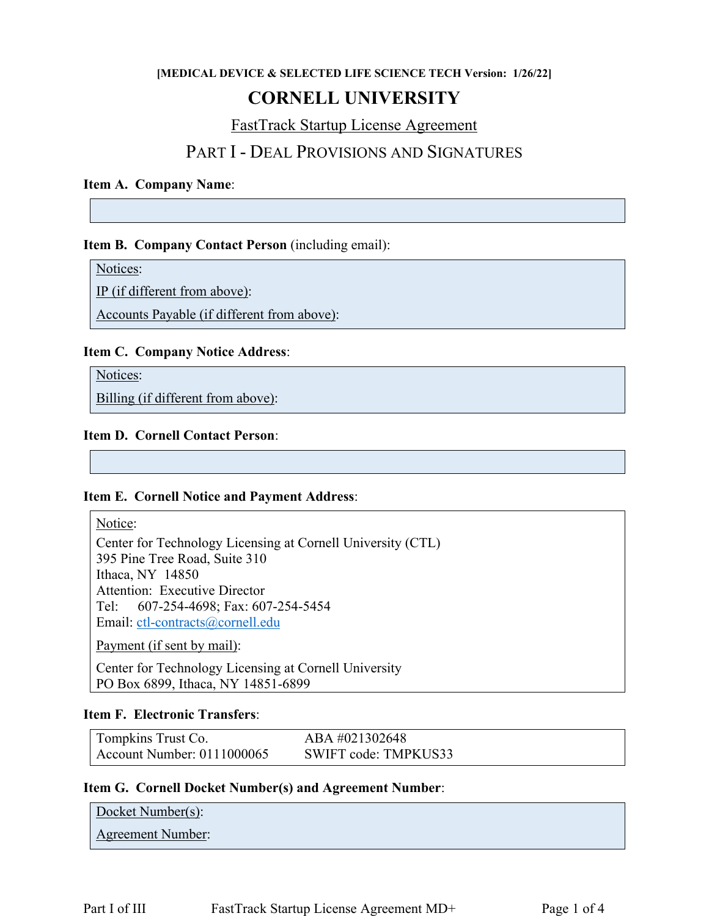#### **[MEDICAL DEVICE & SELECTED LIFE SCIENCE TECH Version: 1/26/22]**

## **CORNELL UNIVERSITY**

FastTrack Startup License Agreement

### PART I - DEAL PROVISIONS AND SIGNATURES

#### **Item A. Company Name**:

#### **Item B. Company Contact Person** (including email):

Notices:

IP (if different from above):

Accounts Payable (if different from above):

#### **Item C. Company Notice Address**:

Notices:

Billing (if different from above):

#### **Item D. Cornell Contact Person**:

#### **Item E. Cornell Notice and Payment Address**:

Notice:

Center for Technology Licensing at Cornell University (CTL) 395 Pine Tree Road, Suite 310 Ithaca, NY 14850 Attention: Executive Director Tel: 607-254-4698; Fax: 607-254-5454 Email: [ctl-contracts@cornell.edu](mailto:ctl-contracts@cornell.edu)

Payment (if sent by mail):

Center for Technology Licensing at Cornell University PO Box 6899, Ithaca, NY 14851-6899

#### **Item F. Electronic Transfers**:

| Tompkins Trust Co.         | ABA #021302648       |
|----------------------------|----------------------|
| Account Number: 0111000065 | SWIFT code: TMPKUS33 |

#### **Item G. Cornell Docket Number(s) and Agreement Number**:

Docket Number(s): Agreement Number: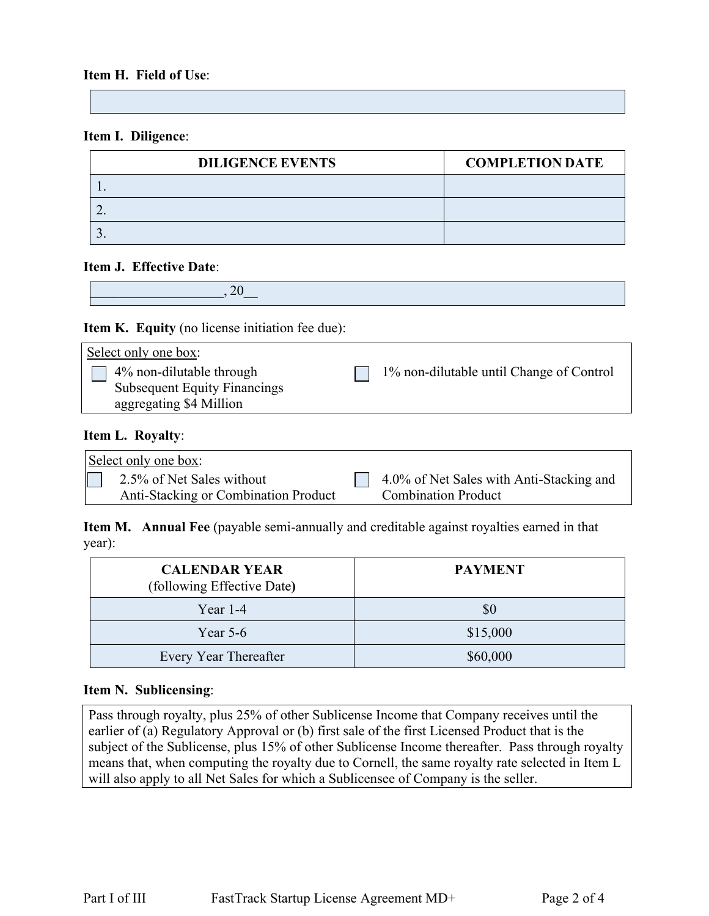#### **Item H. Field of Use**:

#### **Item I. Diligence**:

| <b>DILIGENCE EVENTS</b> | <b>COMPLETION DATE</b> |
|-------------------------|------------------------|
|                         |                        |
|                         |                        |
|                         |                        |

#### **Item J. Effective Date**:

 $.20$ 

#### **Item K. Equity** (no license initiation fee due):

| Select only one box:                                                                       |                                          |
|--------------------------------------------------------------------------------------------|------------------------------------------|
| 4% non-dilutable through<br><b>Subsequent Equity Financings</b><br>aggregating \$4 Million | 1% non-dilutable until Change of Control |
|                                                                                            |                                          |

#### **Item L. Royalty**:

| Select only one box:                        |                                          |
|---------------------------------------------|------------------------------------------|
| 2.5% of Net Sales without                   | 4.0% of Net Sales with Anti-Stacking and |
| <b>Anti-Stacking or Combination Product</b> | <b>Combination Product</b>               |

**Item M. Annual Fee** (payable semi-annually and creditable against royalties earned in that year):

| <b>CALENDAR YEAR</b><br>(following Effective Date) | <b>PAYMENT</b> |
|----------------------------------------------------|----------------|
| Year $1-4$                                         | \$0            |
| Year $5-6$                                         | \$15,000       |
| Every Year Thereafter                              | \$60,000       |

#### **Item N. Sublicensing**:

Pass through royalty, plus 25% of other Sublicense Income that Company receives until the earlier of (a) Regulatory Approval or (b) first sale of the first Licensed Product that is the subject of the Sublicense, plus 15% of other Sublicense Income thereafter. Pass through royalty means that, when computing the royalty due to Cornell, the same royalty rate selected in Item L will also apply to all Net Sales for which a Sublicensee of Company is the seller.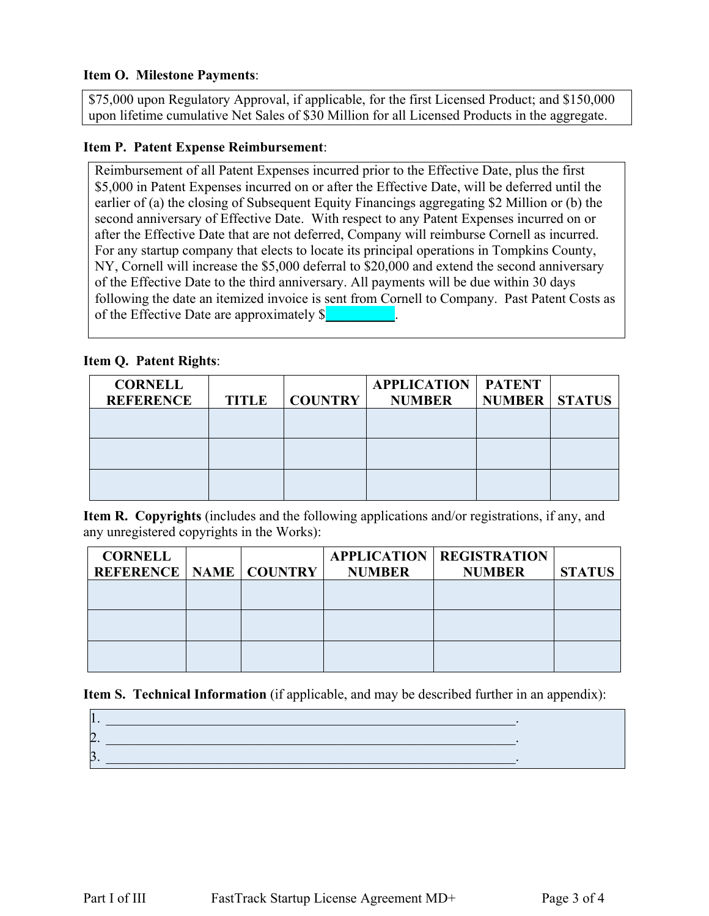#### **Item O. Milestone Payments**:

\$75,000 upon Regulatory Approval, if applicable, for the first Licensed Product; and \$150,000 upon lifetime cumulative Net Sales of \$30 Million for all Licensed Products in the aggregate.

#### **Item P. Patent Expense Reimbursement**:

Reimbursement of all Patent Expenses incurred prior to the Effective Date, plus the first \$5,000 in Patent Expenses incurred on or after the Effective Date, will be deferred until the earlier of (a) the closing of Subsequent Equity Financings aggregating \$2 Million or (b) the second anniversary of Effective Date. With respect to any Patent Expenses incurred on or after the Effective Date that are not deferred, Company will reimburse Cornell as incurred. For any startup company that elects to locate its principal operations in Tompkins County, NY, Cornell will increase the \$5,000 deferral to \$20,000 and extend the second anniversary of the Effective Date to the third anniversary. All payments will be due within 30 days following the date an itemized invoice is sent from Cornell to Company. Past Patent Costs as of the Effective Date are approximately  $\sqrt{\frac{2}{n}}$ 

#### **Item Q. Patent Rights**:

| <b>CORNELL</b><br><b>REFERENCE</b> | TITLE | <b>COUNTRY</b> | <b>APPLICATION   PATENT</b><br><b>NUMBER</b> | <b>NUMBER   STATUS</b> |  |
|------------------------------------|-------|----------------|----------------------------------------------|------------------------|--|
|                                    |       |                |                                              |                        |  |
|                                    |       |                |                                              |                        |  |
|                                    |       |                |                                              |                        |  |
|                                    |       |                |                                              |                        |  |

**Item R. Copyrights** (includes and the following applications and/or registrations, if any, and any unregistered copyrights in the Works):

| <b>CORNELL</b>                    |  |               | <b>APPLICATION   REGISTRATION</b> |               |
|-----------------------------------|--|---------------|-----------------------------------|---------------|
| <b>REFERENCE   NAME   COUNTRY</b> |  | <b>NUMBER</b> | <b>NUMBER</b>                     | <b>STATUS</b> |
|                                   |  |               |                                   |               |
|                                   |  |               |                                   |               |
|                                   |  |               |                                   |               |
|                                   |  |               |                                   |               |
|                                   |  |               |                                   |               |
|                                   |  |               |                                   |               |

**Item S. Technical Information** (if applicable, and may be described further in an appendix):

| $\overline{\phantom{a}}$ |  |
|--------------------------|--|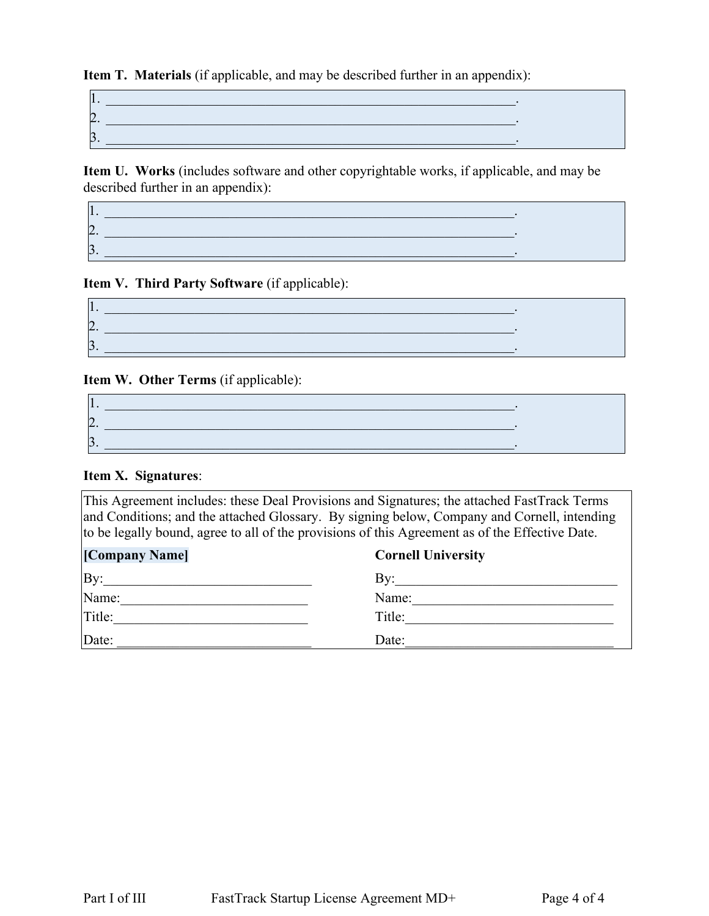**Item T. Materials** (if applicable, and may be described further in an appendix):

| ∸  |  |
|----|--|
| ۰. |  |

**Item U. Works** (includes software and other copyrightable works, if applicable, and may be described further in an appendix):

#### **Item V. Third Party Software** (if applicable):

| ▱ |  |
|---|--|
|   |  |

#### **Item W. Other Terms** (if applicable):

| ▱ |  |
|---|--|
|   |  |

### **Item X. Signatures**:

This Agreement includes: these Deal Provisions and Signatures; the attached FastTrack Terms and Conditions; and the attached Glossary. By signing below, Company and Cornell, intending to be legally bound, agree to all of the provisions of this Agreement as of the Effective Date.

| [Company Name] | <b>Cornell University</b> |
|----------------|---------------------------|
| By:            | Bv:                       |
| Name:          | Name:                     |
| Title:         | Title:                    |
| Date:          | Date:                     |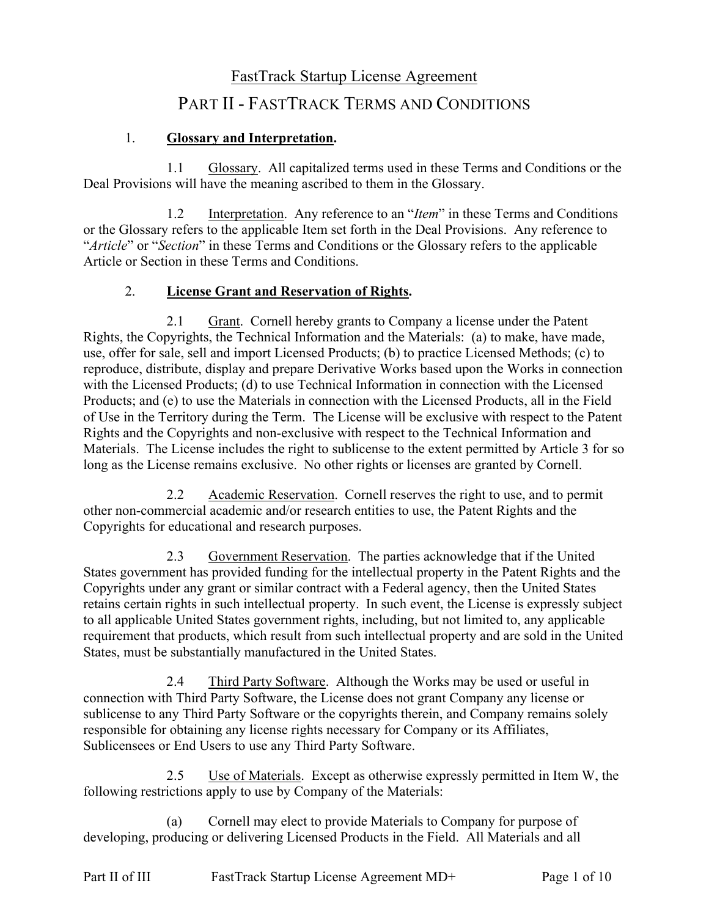# FastTrack Startup License Agreement

# PART II - FASTTRACK TERMS AND CONDITIONS

### 1. **Glossary and Interpretation.**

1.1 Glossary. All capitalized terms used in these Terms and Conditions or the Deal Provisions will have the meaning ascribed to them in the Glossary.

1.2 Interpretation. Any reference to an "*Item*" in these Terms and Conditions or the Glossary refers to the applicable Item set forth in the Deal Provisions. Any reference to "*Article*" or "*Section*" in these Terms and Conditions or the Glossary refers to the applicable Article or Section in these Terms and Conditions.

### 2. **License Grant and Reservation of Rights.**

2.1 Grant. Cornell hereby grants to Company a license under the Patent Rights, the Copyrights, the Technical Information and the Materials: (a) to make, have made, use, offer for sale, sell and import Licensed Products; (b) to practice Licensed Methods; (c) to reproduce, distribute, display and prepare Derivative Works based upon the Works in connection with the Licensed Products; (d) to use Technical Information in connection with the Licensed Products; and (e) to use the Materials in connection with the Licensed Products, all in the Field of Use in the Territory during the Term. The License will be exclusive with respect to the Patent Rights and the Copyrights and non-exclusive with respect to the Technical Information and Materials. The License includes the right to sublicense to the extent permitted by Article 3 for so long as the License remains exclusive. No other rights or licenses are granted by Cornell.

2.2 Academic Reservation. Cornell reserves the right to use, and to permit other non-commercial academic and/or research entities to use, the Patent Rights and the Copyrights for educational and research purposes.

2.3 Government Reservation. The parties acknowledge that if the United States government has provided funding for the intellectual property in the Patent Rights and the Copyrights under any grant or similar contract with a Federal agency, then the United States retains certain rights in such intellectual property. In such event, the License is expressly subject to all applicable United States government rights, including, but not limited to, any applicable requirement that products, which result from such intellectual property and are sold in the United States, must be substantially manufactured in the United States.

2.4 Third Party Software. Although the Works may be used or useful in connection with Third Party Software, the License does not grant Company any license or sublicense to any Third Party Software or the copyrights therein, and Company remains solely responsible for obtaining any license rights necessary for Company or its Affiliates, Sublicensees or End Users to use any Third Party Software.

2.5 Use of Materials. Except as otherwise expressly permitted in Item W, the following restrictions apply to use by Company of the Materials:

(a) Cornell may elect to provide Materials to Company for purpose of developing, producing or delivering Licensed Products in the Field. All Materials and all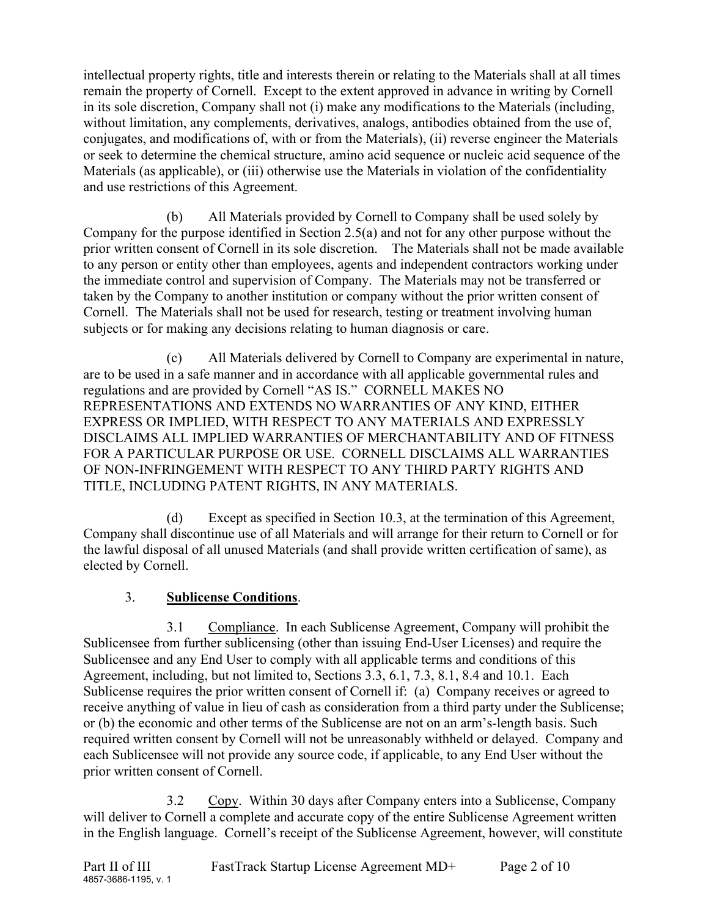intellectual property rights, title and interests therein or relating to the Materials shall at all times remain the property of Cornell. Except to the extent approved in advance in writing by Cornell in its sole discretion, Company shall not (i) make any modifications to the Materials (including, without limitation, any complements, derivatives, analogs, antibodies obtained from the use of, conjugates, and modifications of, with or from the Materials), (ii) reverse engineer the Materials or seek to determine the chemical structure, amino acid sequence or nucleic acid sequence of the Materials (as applicable), or (iii) otherwise use the Materials in violation of the confidentiality and use restrictions of this Agreement.

(b) All Materials provided by Cornell to Company shall be used solely by Company for the purpose identified in Section 2.5(a) and not for any other purpose without the prior written consent of Cornell in its sole discretion. The Materials shall not be made available to any person or entity other than employees, agents and independent contractors working under the immediate control and supervision of Company. The Materials may not be transferred or taken by the Company to another institution or company without the prior written consent of Cornell. The Materials shall not be used for research, testing or treatment involving human subjects or for making any decisions relating to human diagnosis or care.

(c) All Materials delivered by Cornell to Company are experimental in nature, are to be used in a safe manner and in accordance with all applicable governmental rules and regulations and are provided by Cornell "AS IS." CORNELL MAKES NO REPRESENTATIONS AND EXTENDS NO WARRANTIES OF ANY KIND, EITHER EXPRESS OR IMPLIED, WITH RESPECT TO ANY MATERIALS AND EXPRESSLY DISCLAIMS ALL IMPLIED WARRANTIES OF MERCHANTABILITY AND OF FITNESS FOR A PARTICULAR PURPOSE OR USE. CORNELL DISCLAIMS ALL WARRANTIES OF NON-INFRINGEMENT WITH RESPECT TO ANY THIRD PARTY RIGHTS AND TITLE, INCLUDING PATENT RIGHTS, IN ANY MATERIALS.

(d) Except as specified in Section 10.3, at the termination of this Agreement, Company shall discontinue use of all Materials and will arrange for their return to Cornell or for the lawful disposal of all unused Materials (and shall provide written certification of same), as elected by Cornell.

### 3. **Sublicense Conditions**.

3.1 Compliance. In each Sublicense Agreement, Company will prohibit the Sublicensee from further sublicensing (other than issuing End-User Licenses) and require the Sublicensee and any End User to comply with all applicable terms and conditions of this Agreement, including, but not limited to, Sections 3.3, 6.1, 7.3, 8.1, 8.4 and 10.1. Each Sublicense requires the prior written consent of Cornell if: (a) Company receives or agreed to receive anything of value in lieu of cash as consideration from a third party under the Sublicense; or (b) the economic and other terms of the Sublicense are not on an arm's-length basis. Such required written consent by Cornell will not be unreasonably withheld or delayed. Company and each Sublicensee will not provide any source code, if applicable, to any End User without the prior written consent of Cornell.

3.2 Copy. Within 30 days after Company enters into a Sublicense, Company will deliver to Cornell a complete and accurate copy of the entire Sublicense Agreement written in the English language. Cornell's receipt of the Sublicense Agreement, however, will constitute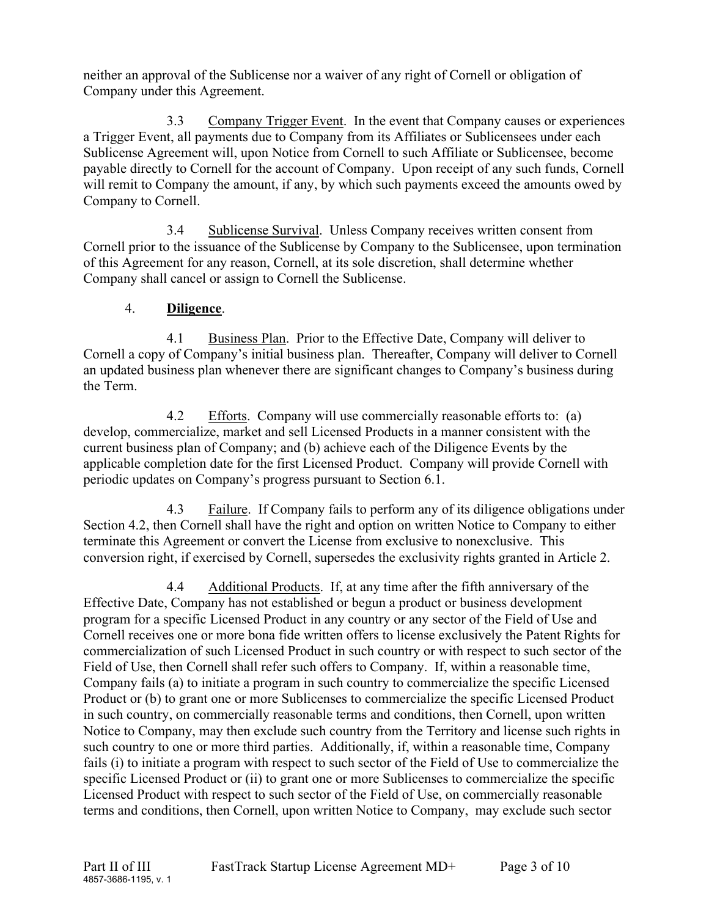neither an approval of the Sublicense nor a waiver of any right of Cornell or obligation of Company under this Agreement.

3.3 Company Trigger Event. In the event that Company causes or experiences a Trigger Event, all payments due to Company from its Affiliates or Sublicensees under each Sublicense Agreement will, upon Notice from Cornell to such Affiliate or Sublicensee, become payable directly to Cornell for the account of Company. Upon receipt of any such funds, Cornell will remit to Company the amount, if any, by which such payments exceed the amounts owed by Company to Cornell.

3.4 Sublicense Survival. Unless Company receives written consent from Cornell prior to the issuance of the Sublicense by Company to the Sublicensee, upon termination of this Agreement for any reason, Cornell, at its sole discretion, shall determine whether Company shall cancel or assign to Cornell the Sublicense.

### 4. **Diligence**.

4.1 Business Plan. Prior to the Effective Date, Company will deliver to Cornell a copy of Company's initial business plan. Thereafter, Company will deliver to Cornell an updated business plan whenever there are significant changes to Company's business during the Term.

4.2 Efforts. Company will use commercially reasonable efforts to: (a) develop, commercialize, market and sell Licensed Products in a manner consistent with the current business plan of Company; and (b) achieve each of the Diligence Events by the applicable completion date for the first Licensed Product. Company will provide Cornell with periodic updates on Company's progress pursuant to Section 6.1.

4.3 Failure. If Company fails to perform any of its diligence obligations under Section 4.2, then Cornell shall have the right and option on written Notice to Company to either terminate this Agreement or convert the License from exclusive to nonexclusive. This conversion right, if exercised by Cornell, supersedes the exclusivity rights granted in Article 2.

4.4 Additional Products. If, at any time after the fifth anniversary of the Effective Date, Company has not established or begun a product or business development program for a specific Licensed Product in any country or any sector of the Field of Use and Cornell receives one or more bona fide written offers to license exclusively the Patent Rights for commercialization of such Licensed Product in such country or with respect to such sector of the Field of Use, then Cornell shall refer such offers to Company. If, within a reasonable time, Company fails (a) to initiate a program in such country to commercialize the specific Licensed Product or (b) to grant one or more Sublicenses to commercialize the specific Licensed Product in such country, on commercially reasonable terms and conditions, then Cornell, upon written Notice to Company, may then exclude such country from the Territory and license such rights in such country to one or more third parties. Additionally, if, within a reasonable time, Company fails (i) to initiate a program with respect to such sector of the Field of Use to commercialize the specific Licensed Product or (ii) to grant one or more Sublicenses to commercialize the specific Licensed Product with respect to such sector of the Field of Use, on commercially reasonable terms and conditions, then Cornell, upon written Notice to Company, may exclude such sector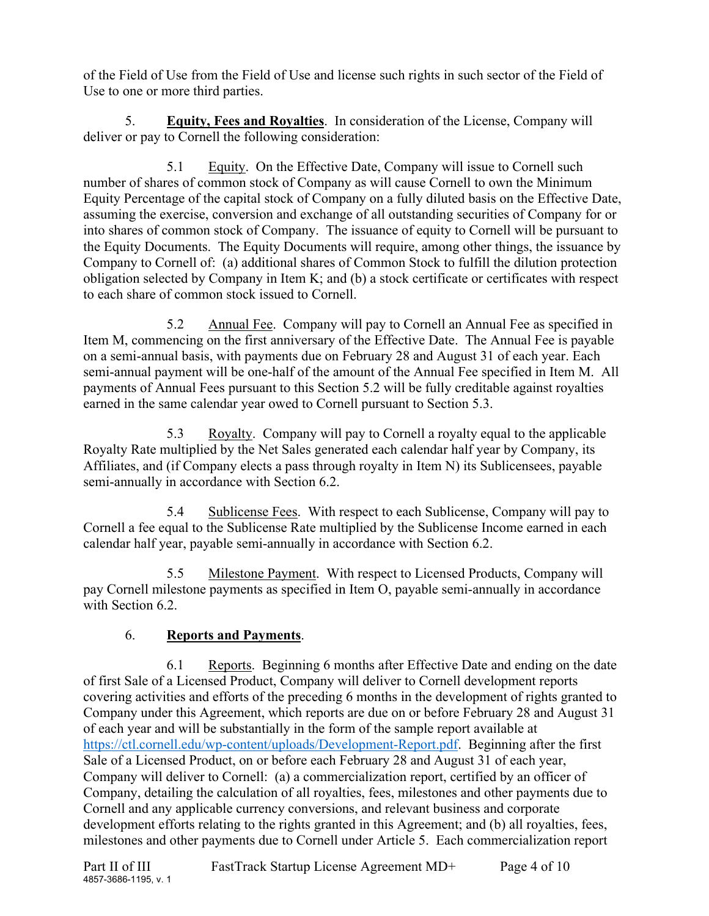of the Field of Use from the Field of Use and license such rights in such sector of the Field of Use to one or more third parties.

5. **Equity, Fees and Royalties**. In consideration of the License, Company will deliver or pay to Cornell the following consideration:

5.1 Equity. On the Effective Date, Company will issue to Cornell such number of shares of common stock of Company as will cause Cornell to own the Minimum Equity Percentage of the capital stock of Company on a fully diluted basis on the Effective Date, assuming the exercise, conversion and exchange of all outstanding securities of Company for or into shares of common stock of Company. The issuance of equity to Cornell will be pursuant to the Equity Documents. The Equity Documents will require, among other things, the issuance by Company to Cornell of: (a) additional shares of Common Stock to fulfill the dilution protection obligation selected by Company in Item K; and (b) a stock certificate or certificates with respect to each share of common stock issued to Cornell.

5.2 Annual Fee. Company will pay to Cornell an Annual Fee as specified in Item M, commencing on the first anniversary of the Effective Date. The Annual Fee is payable on a semi-annual basis, with payments due on February 28 and August 31 of each year. Each semi-annual payment will be one-half of the amount of the Annual Fee specified in Item M. All payments of Annual Fees pursuant to this Section 5.2 will be fully creditable against royalties earned in the same calendar year owed to Cornell pursuant to Section 5.3.

5.3 Royalty. Company will pay to Cornell a royalty equal to the applicable Royalty Rate multiplied by the Net Sales generated each calendar half year by Company, its Affiliates, and (if Company elects a pass through royalty in Item N) its Sublicensees, payable semi-annually in accordance with Section 6.2.

5.4 Sublicense Fees. With respect to each Sublicense, Company will pay to Cornell a fee equal to the Sublicense Rate multiplied by the Sublicense Income earned in each calendar half year, payable semi-annually in accordance with Section 6.2.

5.5 Milestone Payment. With respect to Licensed Products, Company will pay Cornell milestone payments as specified in Item O, payable semi-annually in accordance with Section 6.2.

### 6. **Reports and Payments**.

6.1 Reports. Beginning 6 months after Effective Date and ending on the date of first Sale of a Licensed Product, Company will deliver to Cornell development reports covering activities and efforts of the preceding 6 months in the development of rights granted to Company under this Agreement, which reports are due on or before February 28 and August 31 of each year and will be substantially in the form of the sample report available at [https://ctl.cornell.edu/wp-content/uploads/Development-Report.pdf.](https://ctl.cornell.edu/wp-content/uploads/Development-Report.pdf) Beginning after the first Sale of a Licensed Product, on or before each February 28 and August 31 of each year, Company will deliver to Cornell: (a) a commercialization report, certified by an officer of Company, detailing the calculation of all royalties, fees, milestones and other payments due to Cornell and any applicable currency conversions, and relevant business and corporate development efforts relating to the rights granted in this Agreement; and (b) all royalties, fees, milestones and other payments due to Cornell under Article 5. Each commercialization report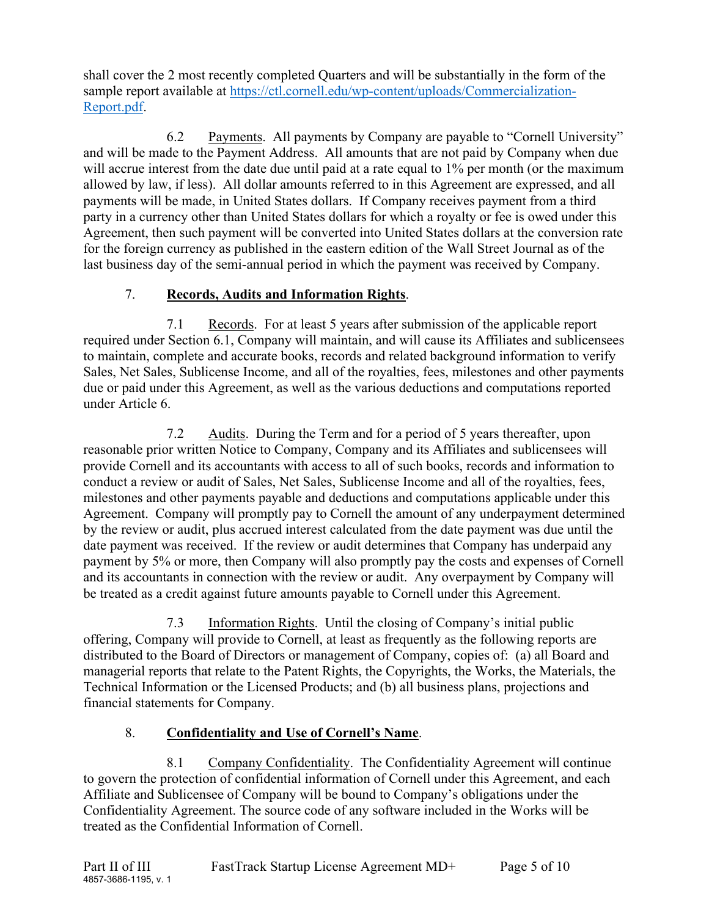shall cover the 2 most recently completed Quarters and will be substantially in the form of the sample report available at [https://ctl.cornell.edu/wp-content/uploads/Commercialization-](https://ctl.cornell.edu/wp-content/uploads/Commercialization-Report.pdf)[Report.pdf.](https://ctl.cornell.edu/wp-content/uploads/Commercialization-Report.pdf)

6.2 Payments. All payments by Company are payable to "Cornell University" and will be made to the Payment Address. All amounts that are not paid by Company when due will accrue interest from the date due until paid at a rate equal to 1% per month (or the maximum allowed by law, if less). All dollar amounts referred to in this Agreement are expressed, and all payments will be made, in United States dollars. If Company receives payment from a third party in a currency other than United States dollars for which a royalty or fee is owed under this Agreement, then such payment will be converted into United States dollars at the conversion rate for the foreign currency as published in the eastern edition of the Wall Street Journal as of the last business day of the semi-annual period in which the payment was received by Company.

### 7. **Records, Audits and Information Rights**.

7.1 Records. For at least 5 years after submission of the applicable report required under Section 6.1, Company will maintain, and will cause its Affiliates and sublicensees to maintain, complete and accurate books, records and related background information to verify Sales, Net Sales, Sublicense Income, and all of the royalties, fees, milestones and other payments due or paid under this Agreement, as well as the various deductions and computations reported under Article 6.

7.2 Audits. During the Term and for a period of 5 years thereafter, upon reasonable prior written Notice to Company, Company and its Affiliates and sublicensees will provide Cornell and its accountants with access to all of such books, records and information to conduct a review or audit of Sales, Net Sales, Sublicense Income and all of the royalties, fees, milestones and other payments payable and deductions and computations applicable under this Agreement. Company will promptly pay to Cornell the amount of any underpayment determined by the review or audit, plus accrued interest calculated from the date payment was due until the date payment was received. If the review or audit determines that Company has underpaid any payment by 5% or more, then Company will also promptly pay the costs and expenses of Cornell and its accountants in connection with the review or audit. Any overpayment by Company will be treated as a credit against future amounts payable to Cornell under this Agreement.

7.3 Information Rights. Until the closing of Company's initial public offering, Company will provide to Cornell, at least as frequently as the following reports are distributed to the Board of Directors or management of Company, copies of: (a) all Board and managerial reports that relate to the Patent Rights, the Copyrights, the Works, the Materials, the Technical Information or the Licensed Products; and (b) all business plans, projections and financial statements for Company.

### 8. **Confidentiality and Use of Cornell's Name**.

8.1 Company Confidentiality. The Confidentiality Agreement will continue to govern the protection of confidential information of Cornell under this Agreement, and each Affiliate and Sublicensee of Company will be bound to Company's obligations under the Confidentiality Agreement. The source code of any software included in the Works will be treated as the Confidential Information of Cornell.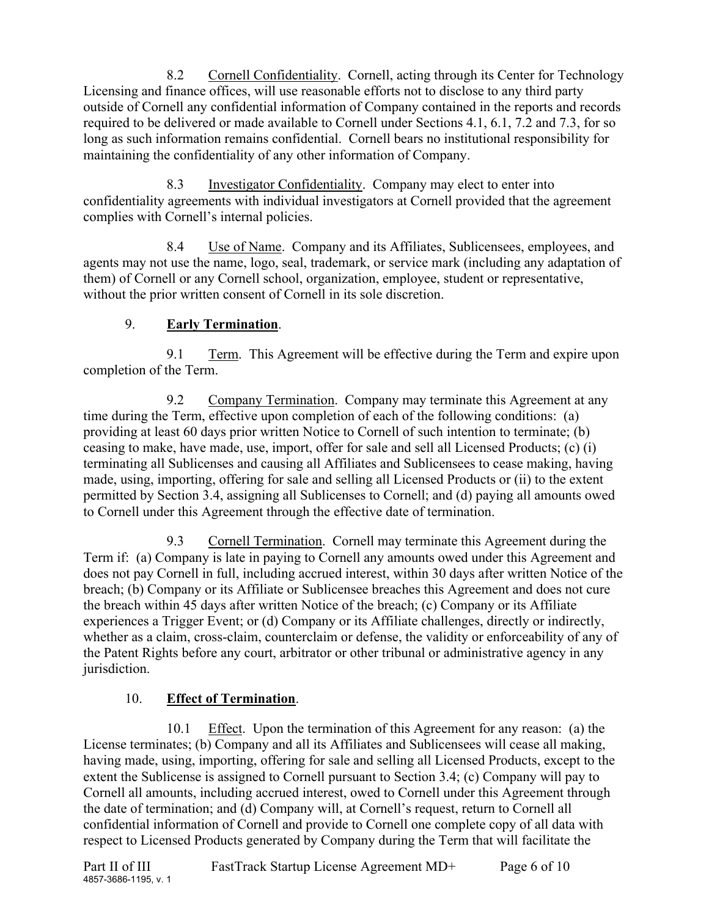8.2 Cornell Confidentiality. Cornell, acting through its Center for Technology Licensing and finance offices, will use reasonable efforts not to disclose to any third party outside of Cornell any confidential information of Company contained in the reports and records required to be delivered or made available to Cornell under Sections 4.1, 6.1, 7.2 and 7.3, for so long as such information remains confidential. Cornell bears no institutional responsibility for maintaining the confidentiality of any other information of Company.

8.3 Investigator Confidentiality. Company may elect to enter into confidentiality agreements with individual investigators at Cornell provided that the agreement complies with Cornell's internal policies.

8.4 Use of Name. Company and its Affiliates, Sublicensees, employees, and agents may not use the name, logo, seal, trademark, or service mark (including any adaptation of them) of Cornell or any Cornell school, organization, employee, student or representative, without the prior written consent of Cornell in its sole discretion.

### 9. **Early Termination**.

9.1 Term. This Agreement will be effective during the Term and expire upon completion of the Term.

9.2 Company Termination. Company may terminate this Agreement at any time during the Term, effective upon completion of each of the following conditions: (a) providing at least 60 days prior written Notice to Cornell of such intention to terminate; (b) ceasing to make, have made, use, import, offer for sale and sell all Licensed Products; (c) (i) terminating all Sublicenses and causing all Affiliates and Sublicensees to cease making, having made, using, importing, offering for sale and selling all Licensed Products or (ii) to the extent permitted by Section 3.4, assigning all Sublicenses to Cornell; and (d) paying all amounts owed to Cornell under this Agreement through the effective date of termination.

9.3 Cornell Termination. Cornell may terminate this Agreement during the Term if: (a) Company is late in paying to Cornell any amounts owed under this Agreement and does not pay Cornell in full, including accrued interest, within 30 days after written Notice of the breach; (b) Company or its Affiliate or Sublicensee breaches this Agreement and does not cure the breach within 45 days after written Notice of the breach; (c) Company or its Affiliate experiences a Trigger Event; or (d) Company or its Affiliate challenges, directly or indirectly, whether as a claim, cross-claim, counterclaim or defense, the validity or enforceability of any of the Patent Rights before any court, arbitrator or other tribunal or administrative agency in any jurisdiction.

### 10. **Effect of Termination**.

10.1 Effect. Upon the termination of this Agreement for any reason: (a) the License terminates; (b) Company and all its Affiliates and Sublicensees will cease all making, having made, using, importing, offering for sale and selling all Licensed Products, except to the extent the Sublicense is assigned to Cornell pursuant to Section 3.4; (c) Company will pay to Cornell all amounts, including accrued interest, owed to Cornell under this Agreement through the date of termination; and (d) Company will, at Cornell's request, return to Cornell all confidential information of Cornell and provide to Cornell one complete copy of all data with respect to Licensed Products generated by Company during the Term that will facilitate the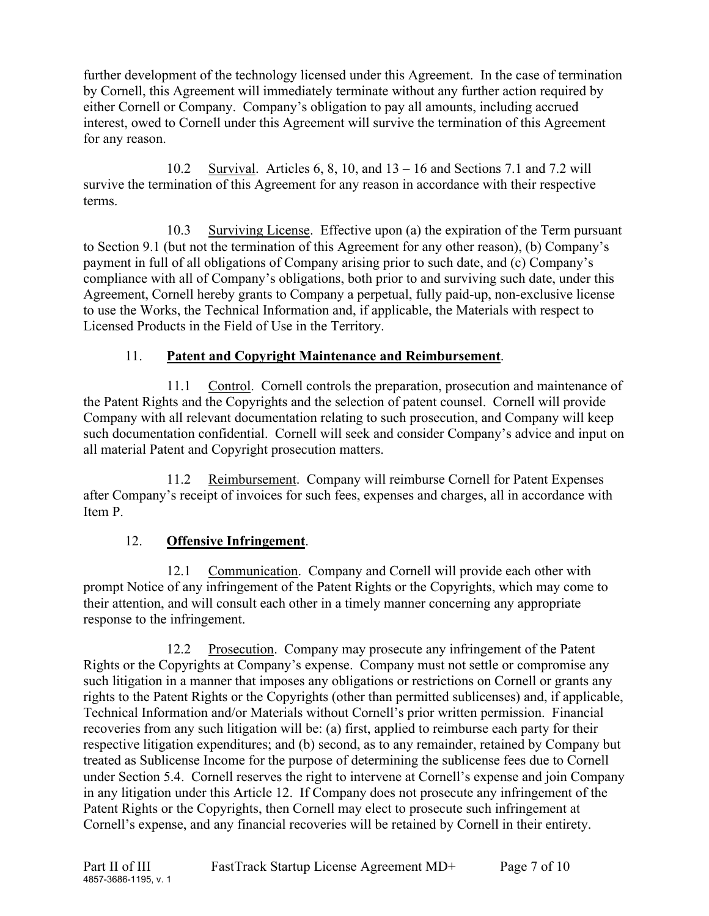further development of the technology licensed under this Agreement. In the case of termination by Cornell, this Agreement will immediately terminate without any further action required by either Cornell or Company. Company's obligation to pay all amounts, including accrued interest, owed to Cornell under this Agreement will survive the termination of this Agreement for any reason.

10.2 Survival. Articles 6, 8, 10, and 13 – 16 and Sections 7.1 and 7.2 will survive the termination of this Agreement for any reason in accordance with their respective terms.

10.3 Surviving License. Effective upon (a) the expiration of the Term pursuant to Section 9.1 (but not the termination of this Agreement for any other reason), (b) Company's payment in full of all obligations of Company arising prior to such date, and (c) Company's compliance with all of Company's obligations, both prior to and surviving such date, under this Agreement, Cornell hereby grants to Company a perpetual, fully paid-up, non-exclusive license to use the Works, the Technical Information and, if applicable, the Materials with respect to Licensed Products in the Field of Use in the Territory.

### 11. **Patent and Copyright Maintenance and Reimbursement**.

11.1 Control. Cornell controls the preparation, prosecution and maintenance of the Patent Rights and the Copyrights and the selection of patent counsel. Cornell will provide Company with all relevant documentation relating to such prosecution, and Company will keep such documentation confidential. Cornell will seek and consider Company's advice and input on all material Patent and Copyright prosecution matters.

11.2 Reimbursement. Company will reimburse Cornell for Patent Expenses after Company's receipt of invoices for such fees, expenses and charges, all in accordance with Item P.

### 12. **Offensive Infringement**.

12.1 Communication. Company and Cornell will provide each other with prompt Notice of any infringement of the Patent Rights or the Copyrights, which may come to their attention, and will consult each other in a timely manner concerning any appropriate response to the infringement.

12.2 Prosecution. Company may prosecute any infringement of the Patent Rights or the Copyrights at Company's expense. Company must not settle or compromise any such litigation in a manner that imposes any obligations or restrictions on Cornell or grants any rights to the Patent Rights or the Copyrights (other than permitted sublicenses) and, if applicable, Technical Information and/or Materials without Cornell's prior written permission. Financial recoveries from any such litigation will be: (a) first, applied to reimburse each party for their respective litigation expenditures; and (b) second, as to any remainder, retained by Company but treated as Sublicense Income for the purpose of determining the sublicense fees due to Cornell under Section 5.4. Cornell reserves the right to intervene at Cornell's expense and join Company in any litigation under this Article 12. If Company does not prosecute any infringement of the Patent Rights or the Copyrights, then Cornell may elect to prosecute such infringement at Cornell's expense, and any financial recoveries will be retained by Cornell in their entirety.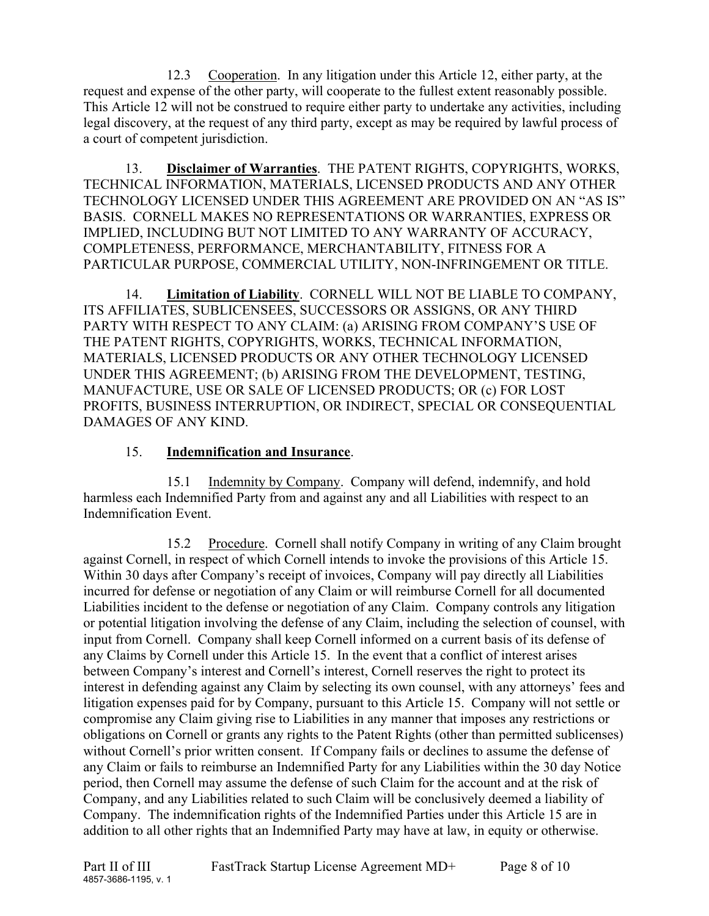12.3 Cooperation. In any litigation under this Article 12, either party, at the request and expense of the other party, will cooperate to the fullest extent reasonably possible. This Article 12 will not be construed to require either party to undertake any activities, including legal discovery, at the request of any third party, except as may be required by lawful process of a court of competent jurisdiction.

13. **Disclaimer of Warranties**. THE PATENT RIGHTS, COPYRIGHTS, WORKS, TECHNICAL INFORMATION, MATERIALS, LICENSED PRODUCTS AND ANY OTHER TECHNOLOGY LICENSED UNDER THIS AGREEMENT ARE PROVIDED ON AN "AS IS" BASIS. CORNELL MAKES NO REPRESENTATIONS OR WARRANTIES, EXPRESS OR IMPLIED, INCLUDING BUT NOT LIMITED TO ANY WARRANTY OF ACCURACY, COMPLETENESS, PERFORMANCE, MERCHANTABILITY, FITNESS FOR A PARTICULAR PURPOSE, COMMERCIAL UTILITY, NON-INFRINGEMENT OR TITLE.

14. **Limitation of Liability**. CORNELL WILL NOT BE LIABLE TO COMPANY, ITS AFFILIATES, SUBLICENSEES, SUCCESSORS OR ASSIGNS, OR ANY THIRD PARTY WITH RESPECT TO ANY CLAIM: (a) ARISING FROM COMPANY'S USE OF THE PATENT RIGHTS, COPYRIGHTS, WORKS, TECHNICAL INFORMATION, MATERIALS, LICENSED PRODUCTS OR ANY OTHER TECHNOLOGY LICENSED UNDER THIS AGREEMENT; (b) ARISING FROM THE DEVELOPMENT, TESTING, MANUFACTURE, USE OR SALE OF LICENSED PRODUCTS; OR (c) FOR LOST PROFITS, BUSINESS INTERRUPTION, OR INDIRECT, SPECIAL OR CONSEQUENTIAL DAMAGES OF ANY KIND.

### 15. **Indemnification and Insurance**.

15.1 Indemnity by Company. Company will defend, indemnify, and hold harmless each Indemnified Party from and against any and all Liabilities with respect to an Indemnification Event.

15.2 Procedure. Cornell shall notify Company in writing of any Claim brought against Cornell, in respect of which Cornell intends to invoke the provisions of this Article 15. Within 30 days after Company's receipt of invoices, Company will pay directly all Liabilities incurred for defense or negotiation of any Claim or will reimburse Cornell for all documented Liabilities incident to the defense or negotiation of any Claim. Company controls any litigation or potential litigation involving the defense of any Claim, including the selection of counsel, with input from Cornell. Company shall keep Cornell informed on a current basis of its defense of any Claims by Cornell under this Article 15. In the event that a conflict of interest arises between Company's interest and Cornell's interest, Cornell reserves the right to protect its interest in defending against any Claim by selecting its own counsel, with any attorneys' fees and litigation expenses paid for by Company, pursuant to this Article 15. Company will not settle or compromise any Claim giving rise to Liabilities in any manner that imposes any restrictions or obligations on Cornell or grants any rights to the Patent Rights (other than permitted sublicenses) without Cornell's prior written consent. If Company fails or declines to assume the defense of any Claim or fails to reimburse an Indemnified Party for any Liabilities within the 30 day Notice period, then Cornell may assume the defense of such Claim for the account and at the risk of Company, and any Liabilities related to such Claim will be conclusively deemed a liability of Company. The indemnification rights of the Indemnified Parties under this Article 15 are in addition to all other rights that an Indemnified Party may have at law, in equity or otherwise.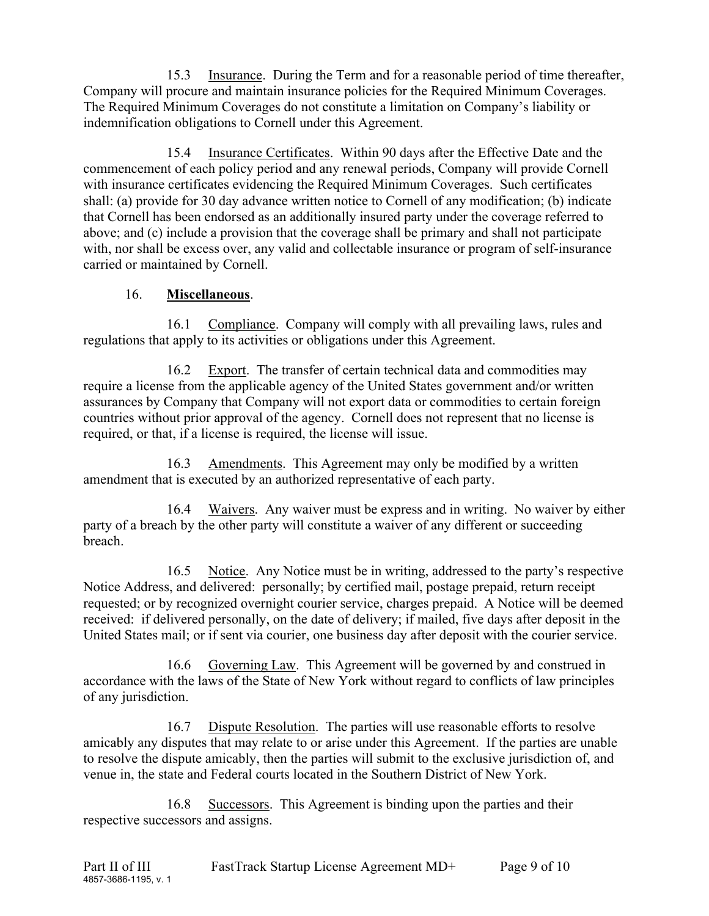15.3 Insurance. During the Term and for a reasonable period of time thereafter, Company will procure and maintain insurance policies for the Required Minimum Coverages. The Required Minimum Coverages do not constitute a limitation on Company's liability or indemnification obligations to Cornell under this Agreement.

15.4 Insurance Certificates. Within 90 days after the Effective Date and the commencement of each policy period and any renewal periods, Company will provide Cornell with insurance certificates evidencing the Required Minimum Coverages. Such certificates shall: (a) provide for 30 day advance written notice to Cornell of any modification; (b) indicate that Cornell has been endorsed as an additionally insured party under the coverage referred to above; and (c) include a provision that the coverage shall be primary and shall not participate with, nor shall be excess over, any valid and collectable insurance or program of self-insurance carried or maintained by Cornell.

### 16. **Miscellaneous**.

16.1 Compliance. Company will comply with all prevailing laws, rules and regulations that apply to its activities or obligations under this Agreement.

16.2 Export. The transfer of certain technical data and commodities may require a license from the applicable agency of the United States government and/or written assurances by Company that Company will not export data or commodities to certain foreign countries without prior approval of the agency. Cornell does not represent that no license is required, or that, if a license is required, the license will issue.

16.3 Amendments. This Agreement may only be modified by a written amendment that is executed by an authorized representative of each party.

16.4 Waivers. Any waiver must be express and in writing. No waiver by either party of a breach by the other party will constitute a waiver of any different or succeeding breach.

16.5 Notice. Any Notice must be in writing, addressed to the party's respective Notice Address, and delivered: personally; by certified mail, postage prepaid, return receipt requested; or by recognized overnight courier service, charges prepaid. A Notice will be deemed received: if delivered personally, on the date of delivery; if mailed, five days after deposit in the United States mail; or if sent via courier, one business day after deposit with the courier service.

16.6 Governing Law. This Agreement will be governed by and construed in accordance with the laws of the State of New York without regard to conflicts of law principles of any jurisdiction.

16.7 Dispute Resolution. The parties will use reasonable efforts to resolve amicably any disputes that may relate to or arise under this Agreement. If the parties are unable to resolve the dispute amicably, then the parties will submit to the exclusive jurisdiction of, and venue in, the state and Federal courts located in the Southern District of New York.

16.8 Successors. This Agreement is binding upon the parties and their respective successors and assigns.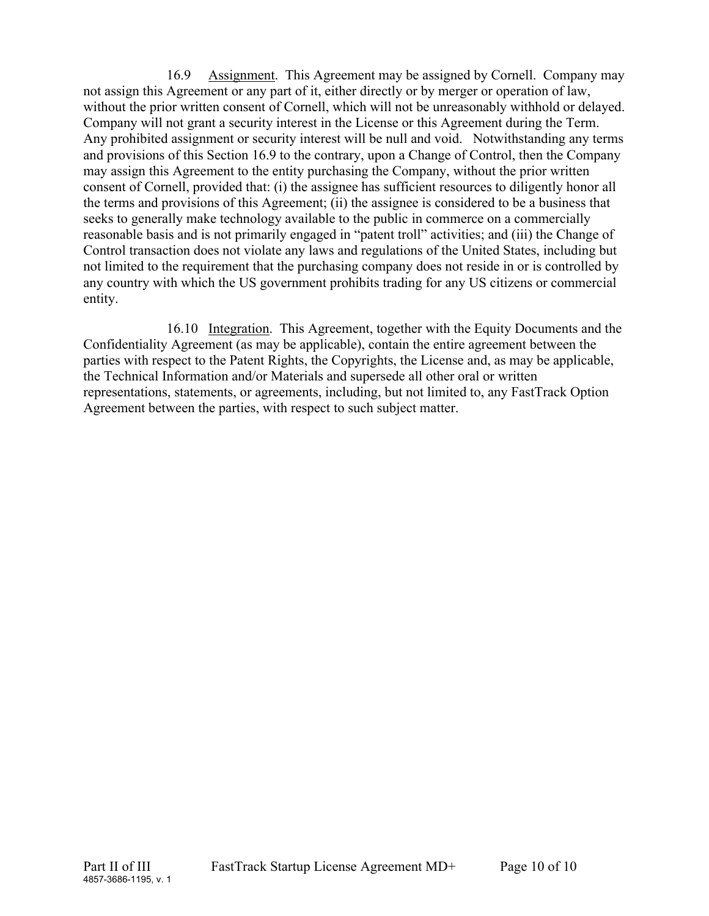16.9 Assignment. This Agreement may be assigned by Cornell. Company may not assign this Agreement or any part of it, either directly or by merger or operation of law, without the prior written consent of Cornell, which will not be unreasonably withhold or delayed. Company will not grant a security interest in the License or this Agreement during the Term. Any prohibited assignment or security interest will be null and void. Notwithstanding any terms and provisions of this Section 16.9 to the contrary, upon a Change of Control, then the Company may assign this Agreement to the entity purchasing the Company, without the prior written consent of Cornell, provided that: (i) the assignee has sufficient resources to diligently honor all the terms and provisions of this Agreement; (ii) the assignee is considered to be a business that seeks to generally make technology available to the public in commerce on a commercially reasonable basis and is not primarily engaged in "patent troll" activities; and (iii) the Change of Control transaction does not violate any laws and regulations of the United States, including but not limited to the requirement that the purchasing company does not reside in or is controlled by any country with which the US government prohibits trading for any US citizens or commercial entity.

16.10 Integration. This Agreement, together with the Equity Documents and the Confidentiality Agreement (as may be applicable), contain the entire agreement between the parties with respect to the Patent Rights, the Copyrights, the License and, as may be applicable, the Technical Information and/or Materials and supersede all other oral or written representations, statements, or agreements, including, but not limited to, any FastTrack Option Agreement between the parties, with respect to such subject matter.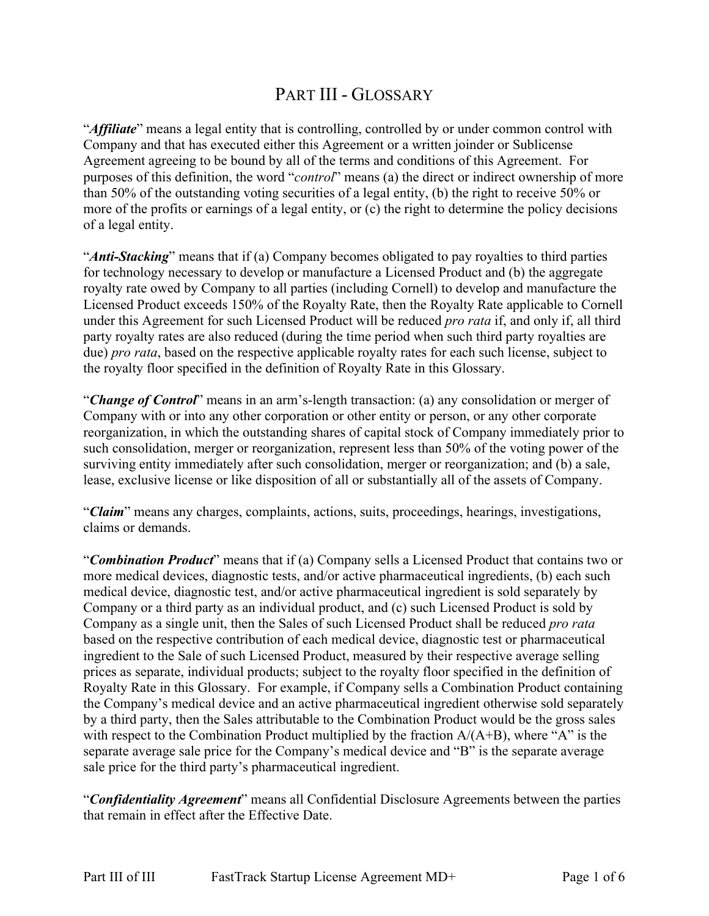# PART III - GLOSSARY

"*Affiliate*" means a legal entity that is controlling, controlled by or under common control with Company and that has executed either this Agreement or a written joinder or Sublicense Agreement agreeing to be bound by all of the terms and conditions of this Agreement. For purposes of this definition, the word "*control*" means (a) the direct or indirect ownership of more than 50% of the outstanding voting securities of a legal entity, (b) the right to receive 50% or more of the profits or earnings of a legal entity, or (c) the right to determine the policy decisions of a legal entity.

"*Anti-Stacking*" means that if (a) Company becomes obligated to pay royalties to third parties for technology necessary to develop or manufacture a Licensed Product and (b) the aggregate royalty rate owed by Company to all parties (including Cornell) to develop and manufacture the Licensed Product exceeds 150% of the Royalty Rate, then the Royalty Rate applicable to Cornell under this Agreement for such Licensed Product will be reduced *pro rata* if, and only if, all third party royalty rates are also reduced (during the time period when such third party royalties are due) *pro rata*, based on the respective applicable royalty rates for each such license, subject to the royalty floor specified in the definition of Royalty Rate in this Glossary.

"*Change of Control*" means in an arm's-length transaction: (a) any consolidation or merger of Company with or into any other corporation or other entity or person, or any other corporate reorganization, in which the outstanding shares of capital stock of Company immediately prior to such consolidation, merger or reorganization, represent less than 50% of the voting power of the surviving entity immediately after such consolidation, merger or reorganization; and (b) a sale, lease, exclusive license or like disposition of all or substantially all of the assets of Company.

"*Claim*" means any charges, complaints, actions, suits, proceedings, hearings, investigations, claims or demands.

"*Combination Product*" means that if (a) Company sells a Licensed Product that contains two or more medical devices, diagnostic tests, and/or active pharmaceutical ingredients, (b) each such medical device, diagnostic test, and/or active pharmaceutical ingredient is sold separately by Company or a third party as an individual product, and (c) such Licensed Product is sold by Company as a single unit, then the Sales of such Licensed Product shall be reduced *pro rata* based on the respective contribution of each medical device, diagnostic test or pharmaceutical ingredient to the Sale of such Licensed Product, measured by their respective average selling prices as separate, individual products; subject to the royalty floor specified in the definition of Royalty Rate in this Glossary. For example, if Company sells a Combination Product containing the Company's medical device and an active pharmaceutical ingredient otherwise sold separately by a third party, then the Sales attributable to the Combination Product would be the gross sales with respect to the Combination Product multiplied by the fraction  $A/(A+B)$ , where "A" is the separate average sale price for the Company's medical device and "B" is the separate average sale price for the third party's pharmaceutical ingredient.

"*Confidentiality Agreement*" means all Confidential Disclosure Agreements between the parties that remain in effect after the Effective Date.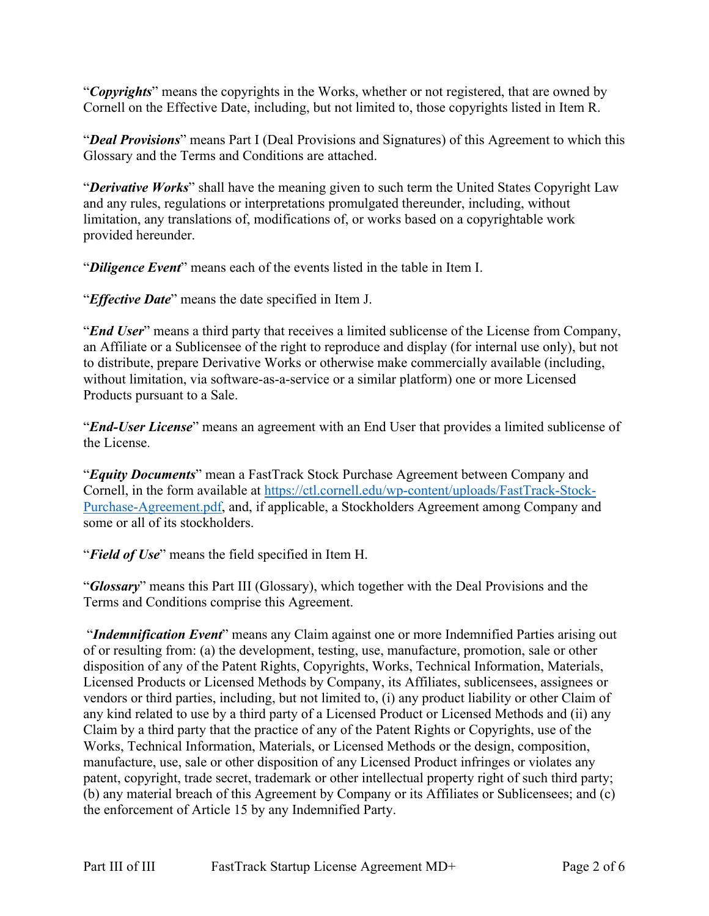"*Copyrights*" means the copyrights in the Works, whether or not registered, that are owned by Cornell on the Effective Date, including, but not limited to, those copyrights listed in Item R.

"*Deal Provisions*" means Part I (Deal Provisions and Signatures) of this Agreement to which this Glossary and the Terms and Conditions are attached.

"*Derivative Works*" shall have the meaning given to such term the United States Copyright Law and any rules, regulations or interpretations promulgated thereunder, including, without limitation, any translations of, modifications of, or works based on a copyrightable work provided hereunder.

"*Diligence Event*" means each of the events listed in the table in Item I.

"*Effective Date*" means the date specified in Item J.

"*End User*" means a third party that receives a limited sublicense of the License from Company, an Affiliate or a Sublicensee of the right to reproduce and display (for internal use only), but not to distribute, prepare Derivative Works or otherwise make commercially available (including, without limitation, via software-as-a-service or a similar platform) one or more Licensed Products pursuant to a Sale.

"*End-User License*" means an agreement with an End User that provides a limited sublicense of the License.

"*Equity Documents*" mean a FastTrack Stock Purchase Agreement between Company and Cornell, in the form available at [https://ctl.cornell.edu/wp-content/uploads/FastTrack-Stock-](https://ctl.cornell.edu/wp-content/uploads/FastTrack-Stock-Purchase-Agreement.pdf)[Purchase-Agreement.pdf,](https://ctl.cornell.edu/wp-content/uploads/FastTrack-Stock-Purchase-Agreement.pdf) and, if applicable, a Stockholders Agreement among Company and some or all of its stockholders.

"*Field of Use*" means the field specified in Item H.

"*Glossary*" means this Part III (Glossary), which together with the Deal Provisions and the Terms and Conditions comprise this Agreement.

"*Indemnification Event*" means any Claim against one or more Indemnified Parties arising out of or resulting from: (a) the development, testing, use, manufacture, promotion, sale or other disposition of any of the Patent Rights, Copyrights, Works, Technical Information, Materials, Licensed Products or Licensed Methods by Company, its Affiliates, sublicensees, assignees or vendors or third parties, including, but not limited to, (i) any product liability or other Claim of any kind related to use by a third party of a Licensed Product or Licensed Methods and (ii) any Claim by a third party that the practice of any of the Patent Rights or Copyrights, use of the Works, Technical Information, Materials, or Licensed Methods or the design, composition, manufacture, use, sale or other disposition of any Licensed Product infringes or violates any patent, copyright, trade secret, trademark or other intellectual property right of such third party; (b) any material breach of this Agreement by Company or its Affiliates or Sublicensees; and (c) the enforcement of Article 15 by any Indemnified Party.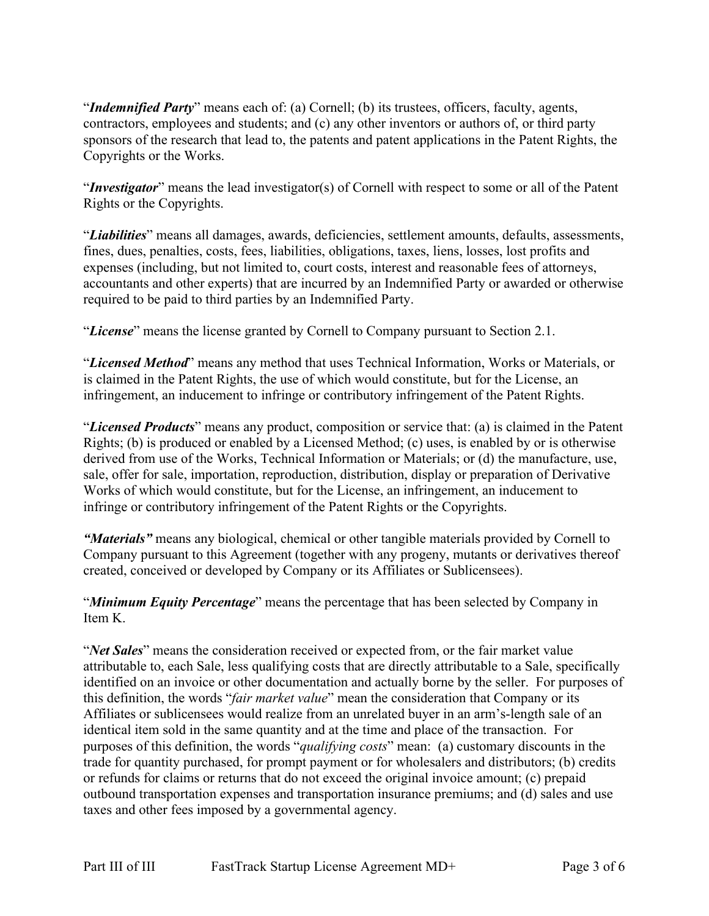"*Indemnified Party*" means each of: (a) Cornell; (b) its trustees, officers, faculty, agents, contractors, employees and students; and (c) any other inventors or authors of, or third party sponsors of the research that lead to, the patents and patent applications in the Patent Rights, the Copyrights or the Works.

"*Investigator*" means the lead investigator(s) of Cornell with respect to some or all of the Patent Rights or the Copyrights.

"*Liabilities*" means all damages, awards, deficiencies, settlement amounts, defaults, assessments, fines, dues, penalties, costs, fees, liabilities, obligations, taxes, liens, losses, lost profits and expenses (including, but not limited to, court costs, interest and reasonable fees of attorneys, accountants and other experts) that are incurred by an Indemnified Party or awarded or otherwise required to be paid to third parties by an Indemnified Party.

"*License*" means the license granted by Cornell to Company pursuant to Section 2.1.

"*Licensed Method*" means any method that uses Technical Information, Works or Materials, or is claimed in the Patent Rights, the use of which would constitute, but for the License, an infringement, an inducement to infringe or contributory infringement of the Patent Rights.

"*Licensed Products*" means any product, composition or service that: (a) is claimed in the Patent Rights; (b) is produced or enabled by a Licensed Method; (c) uses, is enabled by or is otherwise derived from use of the Works, Technical Information or Materials; or (d) the manufacture, use, sale, offer for sale, importation, reproduction, distribution, display or preparation of Derivative Works of which would constitute, but for the License, an infringement, an inducement to infringe or contributory infringement of the Patent Rights or the Copyrights.

*"Materials"* means any biological, chemical or other tangible materials provided by Cornell to Company pursuant to this Agreement (together with any progeny, mutants or derivatives thereof created, conceived or developed by Company or its Affiliates or Sublicensees).

"*Minimum Equity Percentage*" means the percentage that has been selected by Company in Item K.

"*Net Sales*" means the consideration received or expected from, or the fair market value attributable to, each Sale, less qualifying costs that are directly attributable to a Sale, specifically identified on an invoice or other documentation and actually borne by the seller. For purposes of this definition, the words "*fair market value*" mean the consideration that Company or its Affiliates or sublicensees would realize from an unrelated buyer in an arm's-length sale of an identical item sold in the same quantity and at the time and place of the transaction. For purposes of this definition, the words "*qualifying costs*" mean: (a) customary discounts in the trade for quantity purchased, for prompt payment or for wholesalers and distributors; (b) credits or refunds for claims or returns that do not exceed the original invoice amount; (c) prepaid outbound transportation expenses and transportation insurance premiums; and (d) sales and use taxes and other fees imposed by a governmental agency.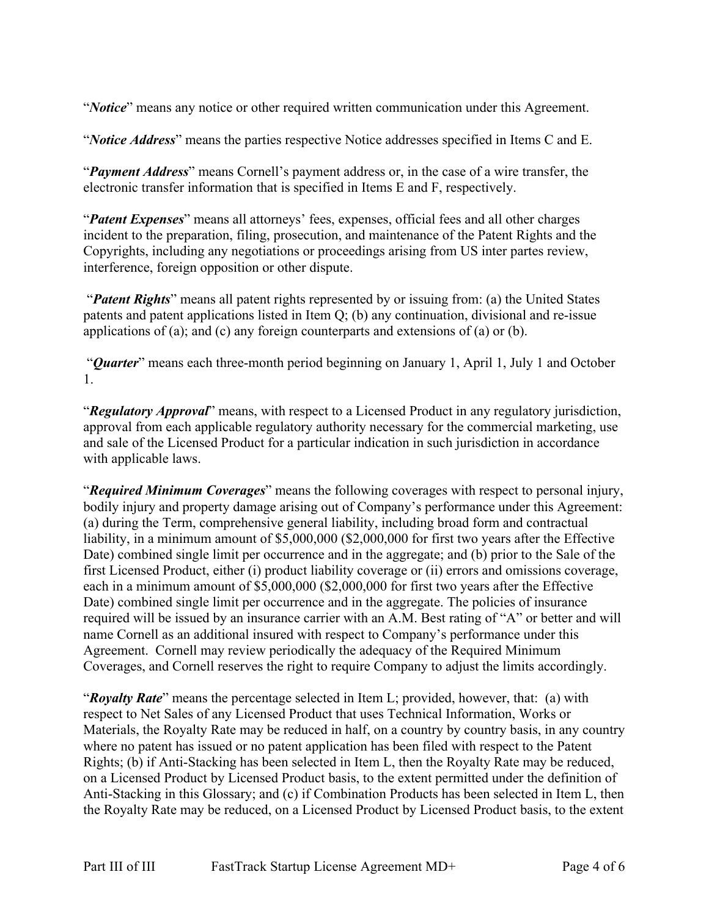"*Notice*" means any notice or other required written communication under this Agreement.

"*Notice Address*" means the parties respective Notice addresses specified in Items C and E.

"*Payment Address*" means Cornell's payment address or, in the case of a wire transfer, the electronic transfer information that is specified in Items E and F, respectively.

"*Patent Expenses*" means all attorneys' fees, expenses, official fees and all other charges incident to the preparation, filing, prosecution, and maintenance of the Patent Rights and the Copyrights, including any negotiations or proceedings arising from US inter partes review, interference, foreign opposition or other dispute.

"*Patent Rights*" means all patent rights represented by or issuing from: (a) the United States patents and patent applications listed in Item Q; (b) any continuation, divisional and re-issue applications of (a); and (c) any foreign counterparts and extensions of (a) or (b).

"*Quarter*" means each three-month period beginning on January 1, April 1, July 1 and October 1.

"*Regulatory Approval*" means, with respect to a Licensed Product in any regulatory jurisdiction, approval from each applicable regulatory authority necessary for the commercial marketing, use and sale of the Licensed Product for a particular indication in such jurisdiction in accordance with applicable laws.

"*Required Minimum Coverages*" means the following coverages with respect to personal injury, bodily injury and property damage arising out of Company's performance under this Agreement: (a) during the Term, comprehensive general liability, including broad form and contractual liability, in a minimum amount of \$5,000,000 (\$2,000,000 for first two years after the Effective Date) combined single limit per occurrence and in the aggregate; and (b) prior to the Sale of the first Licensed Product, either (i) product liability coverage or (ii) errors and omissions coverage, each in a minimum amount of \$5,000,000 (\$2,000,000 for first two years after the Effective Date) combined single limit per occurrence and in the aggregate. The policies of insurance required will be issued by an insurance carrier with an A.M. Best rating of "A" or better and will name Cornell as an additional insured with respect to Company's performance under this Agreement. Cornell may review periodically the adequacy of the Required Minimum Coverages, and Cornell reserves the right to require Company to adjust the limits accordingly.

"*Royalty Rate*" means the percentage selected in Item L; provided, however, that: (a) with respect to Net Sales of any Licensed Product that uses Technical Information, Works or Materials, the Royalty Rate may be reduced in half, on a country by country basis, in any country where no patent has issued or no patent application has been filed with respect to the Patent Rights; (b) if Anti-Stacking has been selected in Item L, then the Royalty Rate may be reduced, on a Licensed Product by Licensed Product basis, to the extent permitted under the definition of Anti-Stacking in this Glossary; and (c) if Combination Products has been selected in Item L, then the Royalty Rate may be reduced, on a Licensed Product by Licensed Product basis, to the extent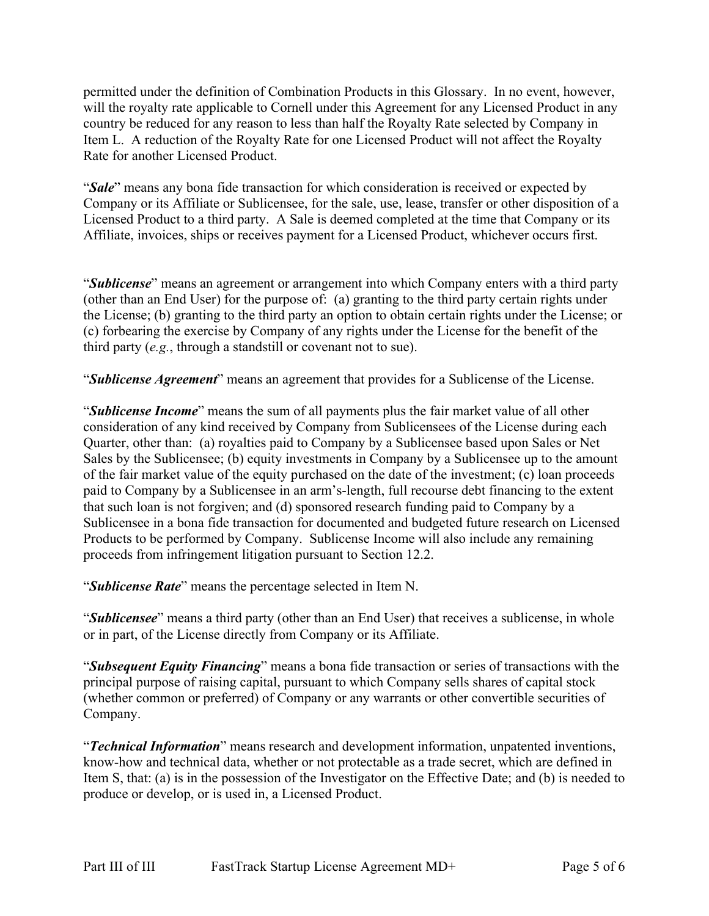permitted under the definition of Combination Products in this Glossary. In no event, however, will the royalty rate applicable to Cornell under this Agreement for any Licensed Product in any country be reduced for any reason to less than half the Royalty Rate selected by Company in Item L. A reduction of the Royalty Rate for one Licensed Product will not affect the Royalty Rate for another Licensed Product.

"*Sale*" means any bona fide transaction for which consideration is received or expected by Company or its Affiliate or Sublicensee, for the sale, use, lease, transfer or other disposition of a Licensed Product to a third party. A Sale is deemed completed at the time that Company or its Affiliate, invoices, ships or receives payment for a Licensed Product, whichever occurs first.

"*Sublicense*" means an agreement or arrangement into which Company enters with a third party (other than an End User) for the purpose of: (a) granting to the third party certain rights under the License; (b) granting to the third party an option to obtain certain rights under the License; or (c) forbearing the exercise by Company of any rights under the License for the benefit of the third party (*e.g.*, through a standstill or covenant not to sue).

"*Sublicense Agreement*" means an agreement that provides for a Sublicense of the License.

"*Sublicense Income*" means the sum of all payments plus the fair market value of all other consideration of any kind received by Company from Sublicensees of the License during each Quarter, other than: (a) royalties paid to Company by a Sublicensee based upon Sales or Net Sales by the Sublicensee; (b) equity investments in Company by a Sublicensee up to the amount of the fair market value of the equity purchased on the date of the investment; (c) loan proceeds paid to Company by a Sublicensee in an arm's-length, full recourse debt financing to the extent that such loan is not forgiven; and (d) sponsored research funding paid to Company by a Sublicensee in a bona fide transaction for documented and budgeted future research on Licensed Products to be performed by Company. Sublicense Income will also include any remaining proceeds from infringement litigation pursuant to Section 12.2.

"*Sublicense Rate*" means the percentage selected in Item N.

"*Sublicensee*" means a third party (other than an End User) that receives a sublicense, in whole or in part, of the License directly from Company or its Affiliate.

"*Subsequent Equity Financing*" means a bona fide transaction or series of transactions with the principal purpose of raising capital, pursuant to which Company sells shares of capital stock (whether common or preferred) of Company or any warrants or other convertible securities of Company.

"*Technical Information*" means research and development information, unpatented inventions, know-how and technical data, whether or not protectable as a trade secret, which are defined in Item S, that: (a) is in the possession of the Investigator on the Effective Date; and (b) is needed to produce or develop, or is used in, a Licensed Product.